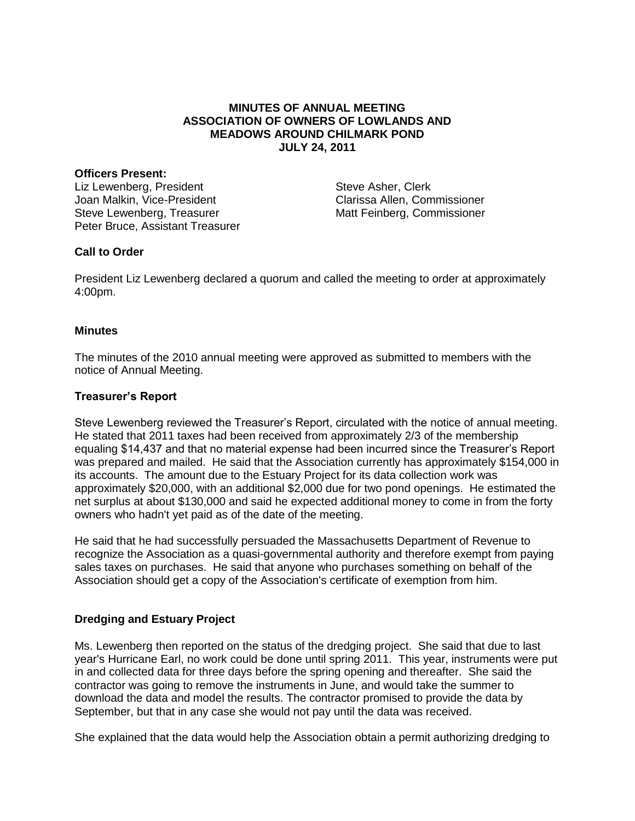# **MINUTES OF ANNUAL MEETING ASSOCIATION OF OWNERS OF LOWLANDS AND MEADOWS AROUND CHILMARK POND JULY 24, 2011**

#### **Officers Present:**

Liz Lewenberg, President Joan Malkin, Vice-President Steve Lewenberg, Treasurer Peter Bruce, Assistant Treasurer

Steve Asher, Clerk Clarissa Allen, Commissioner Matt Feinberg, Commissioner

# **Call to Order**

President Liz Lewenberg declared a quorum and called the meeting to order at approximately 4:00pm.

### **Minutes**

The minutes of the 2010 annual meeting were approved as submitted to members with the notice of Annual Meeting.

# **Treasurer's Report**

Steve Lewenberg reviewed the Treasurer's Report, circulated with the notice of annual meeting. He stated that 2011 taxes had been received from approximately 2/3 of the membership equaling \$14,437 and that no material expense had been incurred since the Treasurer's Report was prepared and mailed. He said that the Association currently has approximately \$154,000 in its accounts. The amount due to the Estuary Project for its data collection work was approximately \$20,000, with an additional \$2,000 due for two pond openings. He estimated the net surplus at about \$130,000 and said he expected additional money to come in from the forty owners who hadn't yet paid as of the date of the meeting.

He said that he had successfully persuaded the Massachusetts Department of Revenue to recognize the Association as a quasi-governmental authority and therefore exempt from paying sales taxes on purchases. He said that anyone who purchases something on behalf of the Association should get a copy of the Association's certificate of exemption from him.

# **Dredging and Estuary Project**

Ms. Lewenberg then reported on the status of the dredging project. She said that due to last year's Hurricane Earl, no work could be done until spring 2011. This year, instruments were put in and collected data for three days before the spring opening and thereafter. She said the contractor was going to remove the instruments in June, and would take the summer to download the data and model the results. The contractor promised to provide the data by September, but that in any case she would not pay until the data was received.

She explained that the data would help the Association obtain a permit authorizing dredging to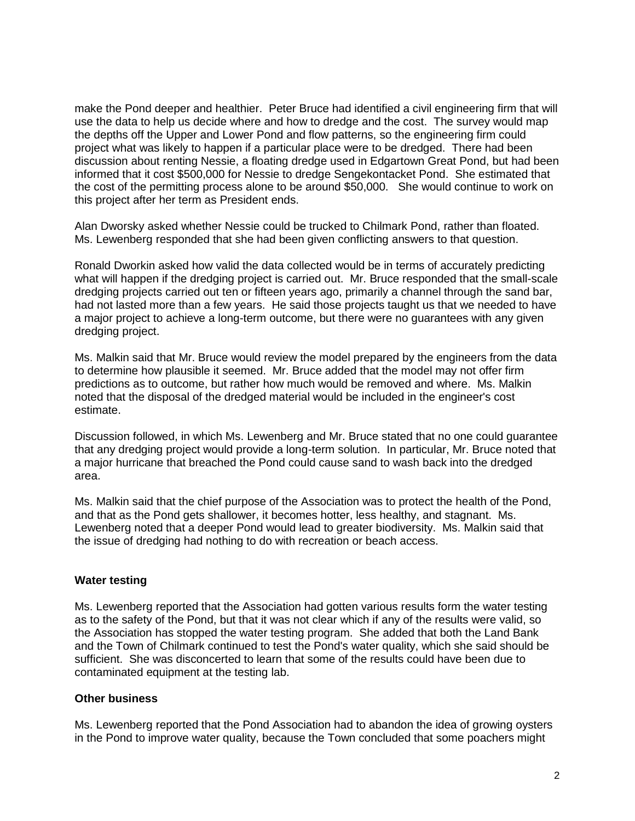make the Pond deeper and healthier. Peter Bruce had identified a civil engineering firm that will use the data to help us decide where and how to dredge and the cost. The survey would map the depths off the Upper and Lower Pond and flow patterns, so the engineering firm could project what was likely to happen if a particular place were to be dredged. There had been discussion about renting Nessie, a floating dredge used in Edgartown Great Pond, but had been informed that it cost \$500,000 for Nessie to dredge Sengekontacket Pond. She estimated that the cost of the permitting process alone to be around \$50,000. She would continue to work on this project after her term as President ends.

Alan Dworsky asked whether Nessie could be trucked to Chilmark Pond, rather than floated. Ms. Lewenberg responded that she had been given conflicting answers to that question.

Ronald Dworkin asked how valid the data collected would be in terms of accurately predicting what will happen if the dredging project is carried out. Mr. Bruce responded that the small-scale dredging projects carried out ten or fifteen years ago, primarily a channel through the sand bar, had not lasted more than a few years. He said those projects taught us that we needed to have a major project to achieve a long-term outcome, but there were no guarantees with any given dredging project.

Ms. Malkin said that Mr. Bruce would review the model prepared by the engineers from the data to determine how plausible it seemed. Mr. Bruce added that the model may not offer firm predictions as to outcome, but rather how much would be removed and where. Ms. Malkin noted that the disposal of the dredged material would be included in the engineer's cost estimate.

Discussion followed, in which Ms. Lewenberg and Mr. Bruce stated that no one could guarantee that any dredging project would provide a long-term solution. In particular, Mr. Bruce noted that a major hurricane that breached the Pond could cause sand to wash back into the dredged area.

Ms. Malkin said that the chief purpose of the Association was to protect the health of the Pond, and that as the Pond gets shallower, it becomes hotter, less healthy, and stagnant. Ms. Lewenberg noted that a deeper Pond would lead to greater biodiversity. Ms. Malkin said that the issue of dredging had nothing to do with recreation or beach access.

# **Water testing**

Ms. Lewenberg reported that the Association had gotten various results form the water testing as to the safety of the Pond, but that it was not clear which if any of the results were valid, so the Association has stopped the water testing program. She added that both the Land Bank and the Town of Chilmark continued to test the Pond's water quality, which she said should be sufficient. She was disconcerted to learn that some of the results could have been due to contaminated equipment at the testing lab.

### **Other business**

Ms. Lewenberg reported that the Pond Association had to abandon the idea of growing oysters in the Pond to improve water quality, because the Town concluded that some poachers might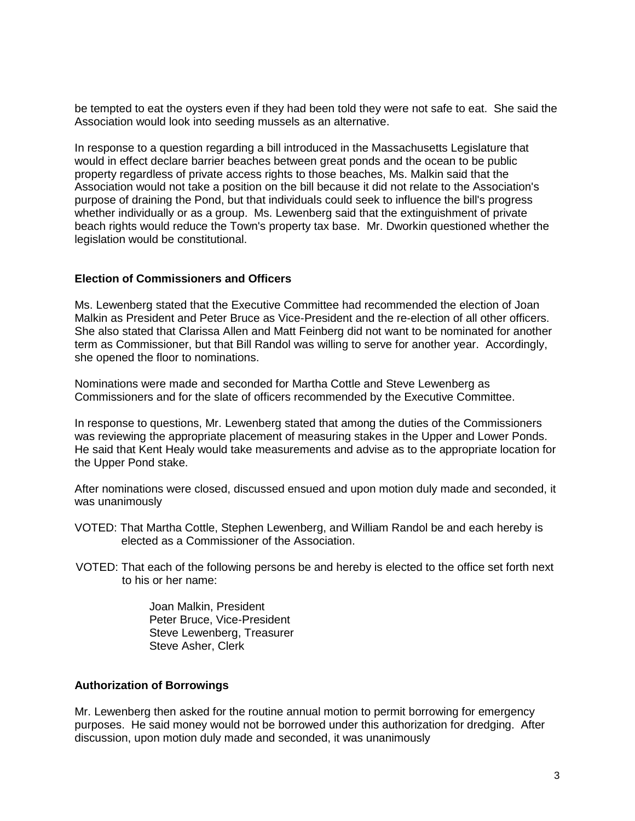be tempted to eat the oysters even if they had been told they were not safe to eat. She said the Association would look into seeding mussels as an alternative.

In response to a question regarding a bill introduced in the Massachusetts Legislature that would in effect declare barrier beaches between great ponds and the ocean to be public property regardless of private access rights to those beaches, Ms. Malkin said that the Association would not take a position on the bill because it did not relate to the Association's purpose of draining the Pond, but that individuals could seek to influence the bill's progress whether individually or as a group. Ms. Lewenberg said that the extinguishment of private beach rights would reduce the Town's property tax base. Mr. Dworkin questioned whether the legislation would be constitutional.

#### **Election of Commissioners and Officers**

Ms. Lewenberg stated that the Executive Committee had recommended the election of Joan Malkin as President and Peter Bruce as Vice-President and the re-election of all other officers. She also stated that Clarissa Allen and Matt Feinberg did not want to be nominated for another term as Commissioner, but that Bill Randol was willing to serve for another year. Accordingly, she opened the floor to nominations.

Nominations were made and seconded for Martha Cottle and Steve Lewenberg as Commissioners and for the slate of officers recommended by the Executive Committee.

In response to questions, Mr. Lewenberg stated that among the duties of the Commissioners was reviewing the appropriate placement of measuring stakes in the Upper and Lower Ponds. He said that Kent Healy would take measurements and advise as to the appropriate location for the Upper Pond stake.

After nominations were closed, discussed ensued and upon motion duly made and seconded, it was unanimously

- VOTED: That Martha Cottle, Stephen Lewenberg, and William Randol be and each hereby is elected as a Commissioner of the Association.
- VOTED: That each of the following persons be and hereby is elected to the office set forth next to his or her name:

Joan Malkin, President Peter Bruce, Vice-President Steve Lewenberg, Treasurer Steve Asher, Clerk

### **Authorization of Borrowings**

Mr. Lewenberg then asked for the routine annual motion to permit borrowing for emergency purposes. He said money would not be borrowed under this authorization for dredging. After discussion, upon motion duly made and seconded, it was unanimously